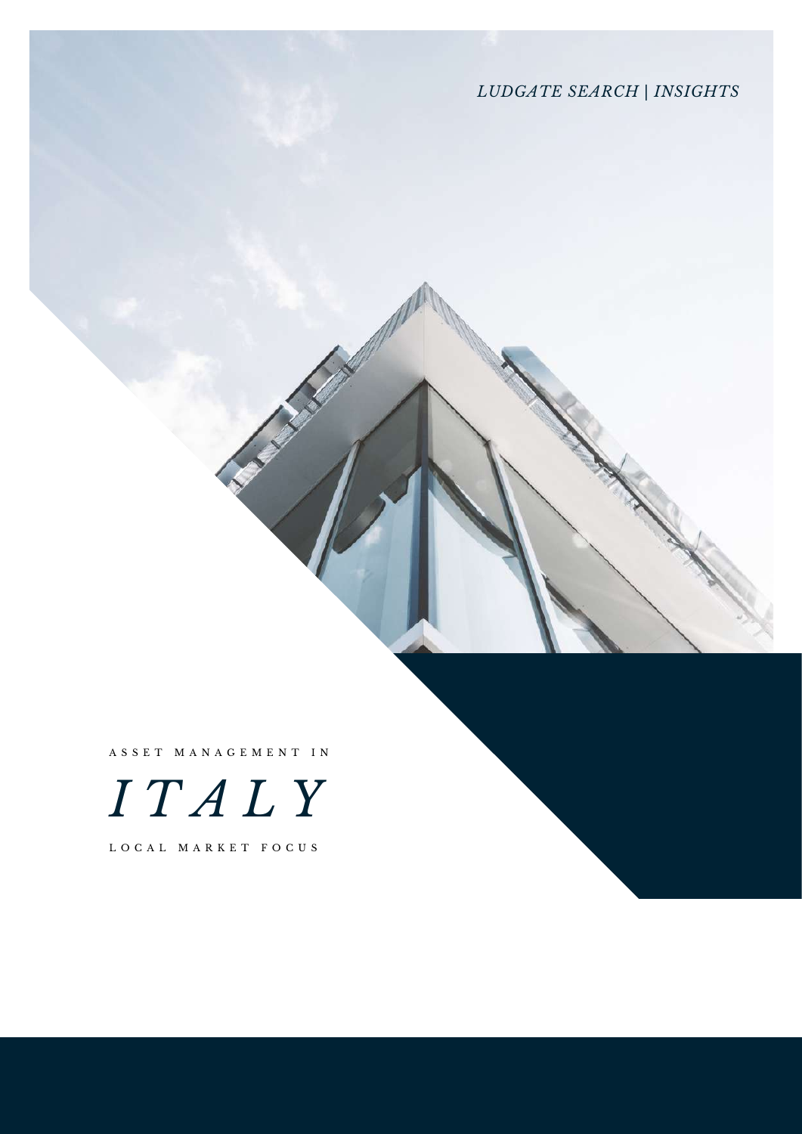*LUDGATE SEARCH* | *INSIGHTS*

A S S E T M A N A G E M E N T I N



L O C A L M A R K E T F O C U S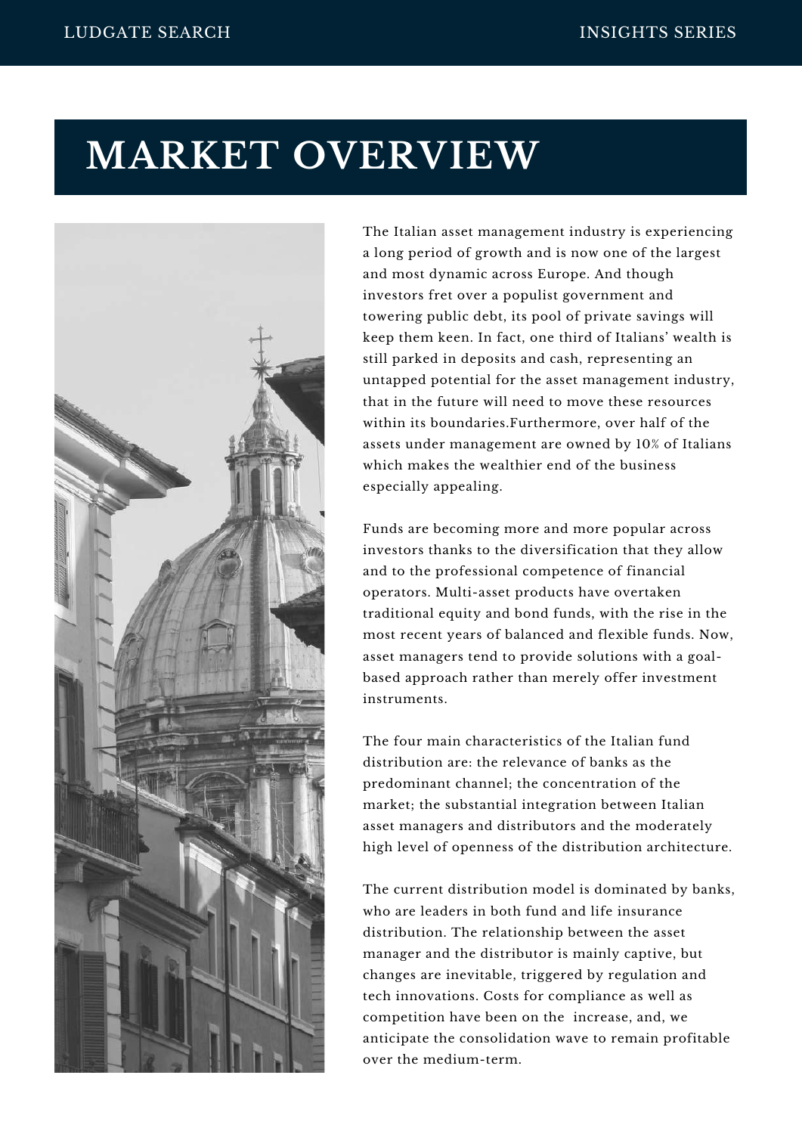# **MARKET OVERVIEW**



The Italian asset management industry is experiencing a long period of growth and is now one of the largest and most dynamic across Europe. And though investors fret over a populist government and towering public debt, its pool of private savings will keep them keen. In fact, one third of Italians' wealth is still parked in deposits and cash, representing an untapped potential for the asset management industry, that in the future will need to move these resources within its boundaries.Furthermore, over half of the assets under management are owned by 10% of Italians which makes the wealthier end of the business especially appealing.

Funds are becoming more and more popular across investors thanks to the diversification that they allow and to the professional competence of financial operators. Multi-asset products have overtaken traditional equity and bond funds, with the rise in the most recent years of balanced and flexible funds. Now, asset managers tend to provide solutions with a goalbased approach rather than merely offer investment instruments.

The four main characteristics of the Italian fund distribution are: the relevance of banks as the predominant channel; the concentration of the market; the substantial integration between Italian asset managers and distributors and the moderately high level of openness of the distribution architecture.

The current distribution model is dominated by banks, who are leaders in both fund and life insurance distribution. The relationship between the asset manager and the distributor is mainly captive, but changes are inevitable, triggered by regulation and tech innovations. Costs for compliance as well as competition have been on the increase, and, we anticipate the consolidation wave to remain profitable over the medium-term.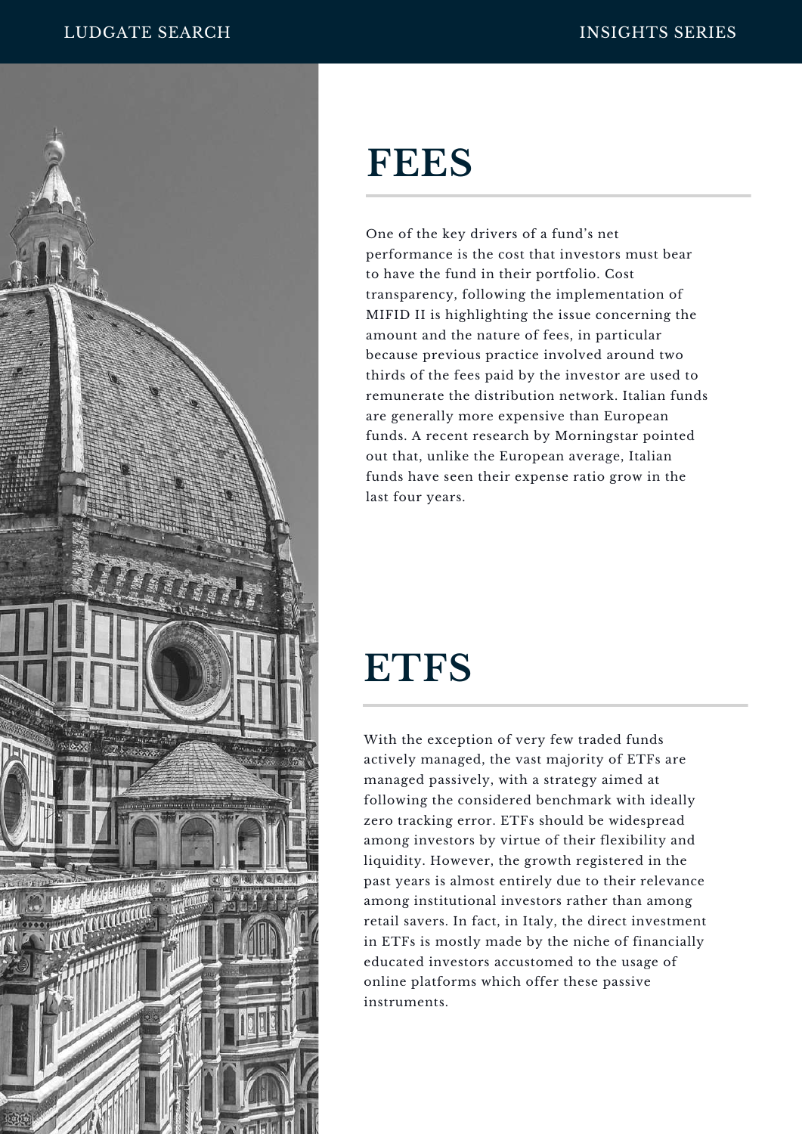

# **FEES**

One of the key drivers of a fund's net performance is the cost that investors must bear to have the fund in their portfolio. Cost transparency, following the implementation of MIFID II is highlighting the issue concerning the amount and the nature of fees, in particular because previous practice involved around two thirds of the fees paid by the investor are used to remunerate the distribution network. Italian funds are generally more expensive than European funds. A recent research by Morningstar pointed out that, unlike the European average, Italian funds have seen their expense ratio grow in the last four years.

# **ETFS**

With the exception of very few traded funds actively managed, the vast majority of ETFs are managed passively, with a strategy aimed at following the considered benchmark with ideally zero tracking error. ETFs should be widespread among investors by virtue of their flexibility and liquidity. However, the growth registered in the past years is almost entirely due to their relevance among institutional investors rather than among retail savers. In fact, in Italy, the direct investment in ETFs is mostly made by the niche of financially educated investors accustomed to the usage of online platforms which offer these passive instruments.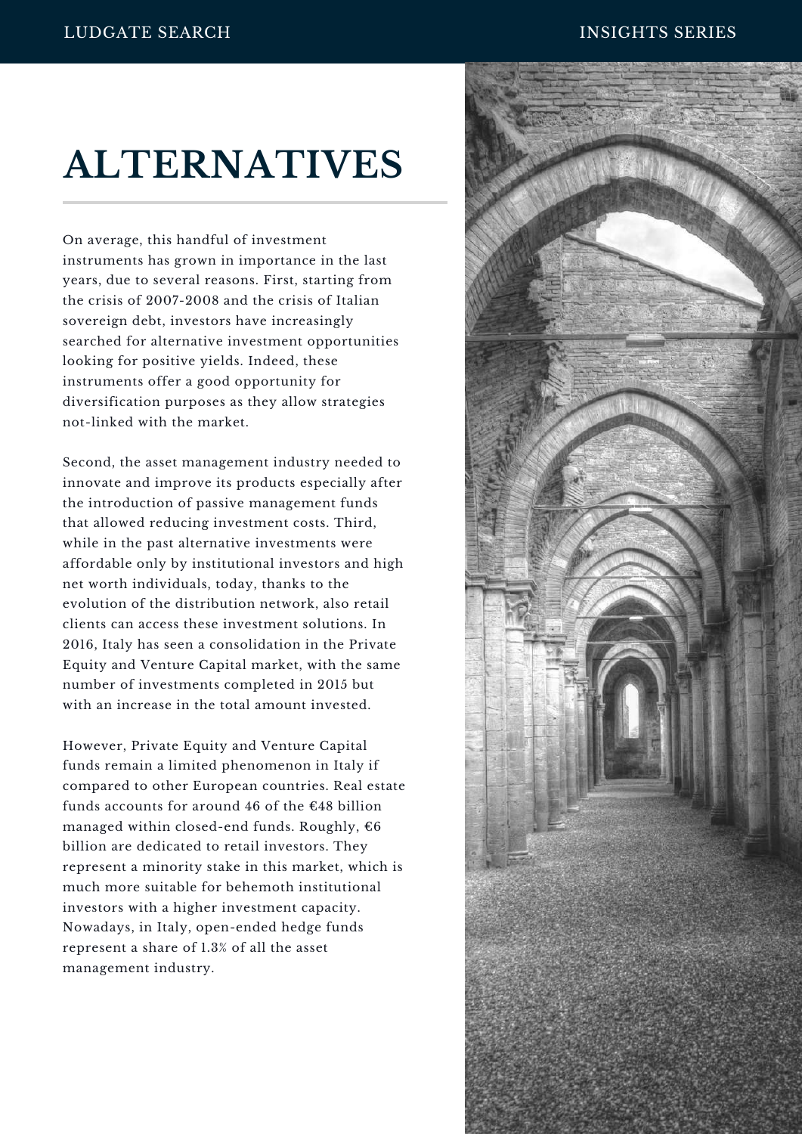# **ALTERNATIVES**

On average, this handful of investment instruments has grown in importance in the last years, due to several reasons. First, starting from the crisis of 2007-2008 and the crisis of Italian sovereign debt, investors have increasingly searched for alternative investment opportunities looking for positive yields. Indeed, these instruments offer a good opportunity for diversification purposes as they allow strategies not-linked with the market.

Second, the asset management industry needed to innovate and improve its products especially after the introduction of passive management funds that allowed reducing investment costs. Third, while in the past alternative investments were affordable only by institutional investors and high net worth individuals, today, thanks to the evolution of the distribution network, also retail clients can access these investment solutions. In 2016, Italy has seen a consolidation in the Private Equity and Venture Capital market, with the same number of investments completed in 2015 but with an increase in the total amount invested.

However, Private Equity and Venture Capital funds remain a limited phenomenon in Italy if compared to other European countries. Real estate funds accounts for around 46 of the €48 billion managed within closed-end funds. Roughly, €6 billion are dedicated to retail investors. They represent a minority stake in this market, which is much more suitable for behemoth institutional investors with a higher investment capacity. Nowadays, in Italy, open-ended hedge funds represent a share of 1.3% of all the asset management industry.

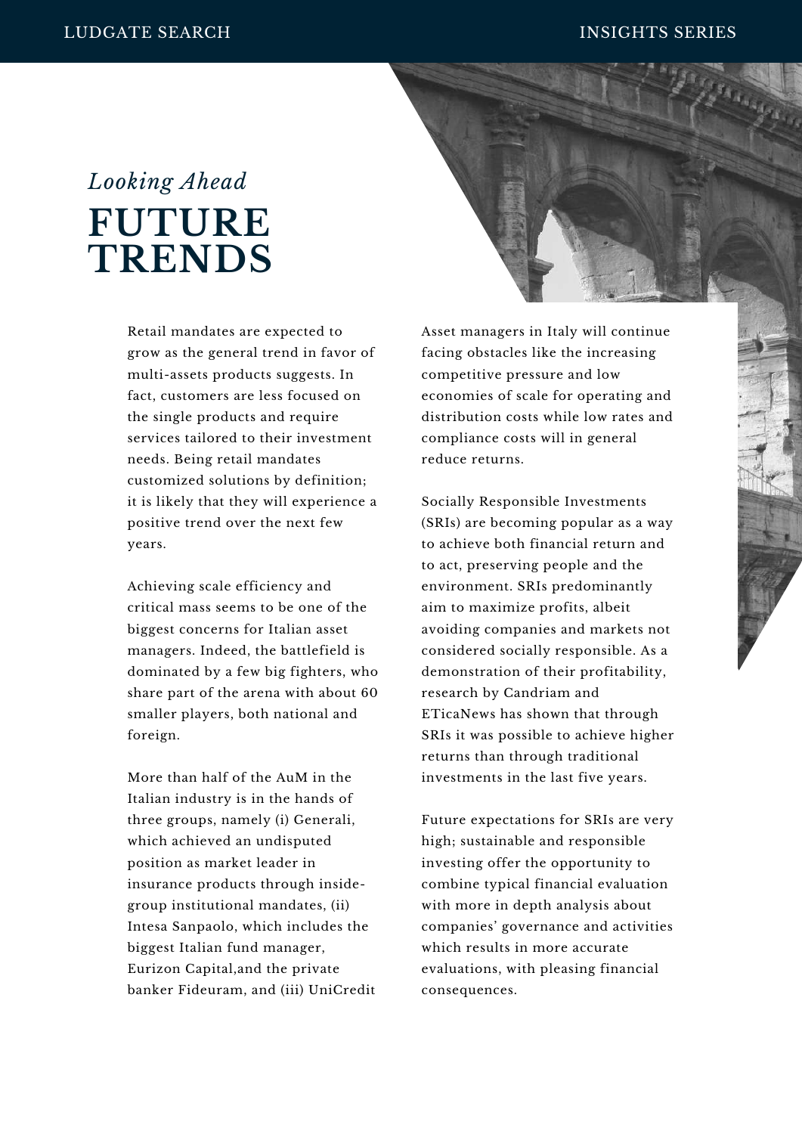## **FUTURE TRENDS** *Looking Ahead*

Retail mandates are expected to grow as the general trend in favor of multi-assets products suggests. In fact, customers are less focused on the single products and require services tailored to their investment needs. Being retail mandates customized solutions by definition; it is likely that they will experience a positive trend over the next few years.

Achieving scale efficiency and critical mass seems to be one of the biggest concerns for Italian asset managers. Indeed, the battlefield is dominated by a few big fighters, who share part of the arena with about 60 smaller players, both national and foreign.

More than half of the AuM in the Italian industry is in the hands of three groups, namely (i) Generali, which achieved an undisputed position as market leader in insurance products through insidegroup institutional mandates, (ii) Intesa Sanpaolo, which includes the biggest Italian fund manager, Eurizon Capital,and the private banker Fideuram, and (iii) UniCredit Asset managers in Italy will continue facing obstacles like the increasing competitive pressure and low economies of scale for operating and distribution costs while low rates and compliance costs will in general reduce returns.

Socially Responsible Investments (SRIs) are becoming popular as a way to achieve both financial return and to act, preserving people and the environment. SRIs predominantly aim to maximize profits, albeit avoiding companies and markets not considered socially responsible. As a demonstration of their profitability, research by Candriam and ETicaNews has shown that through SRIs it was possible to achieve higher returns than through traditional investments in the last five years.

Future expectations for SRIs are very high; sustainable and responsible investing offer the opportunity to combine typical financial evaluation with more in depth analysis about companies' governance and activities which results in more accurate evaluations, with pleasing financial consequences.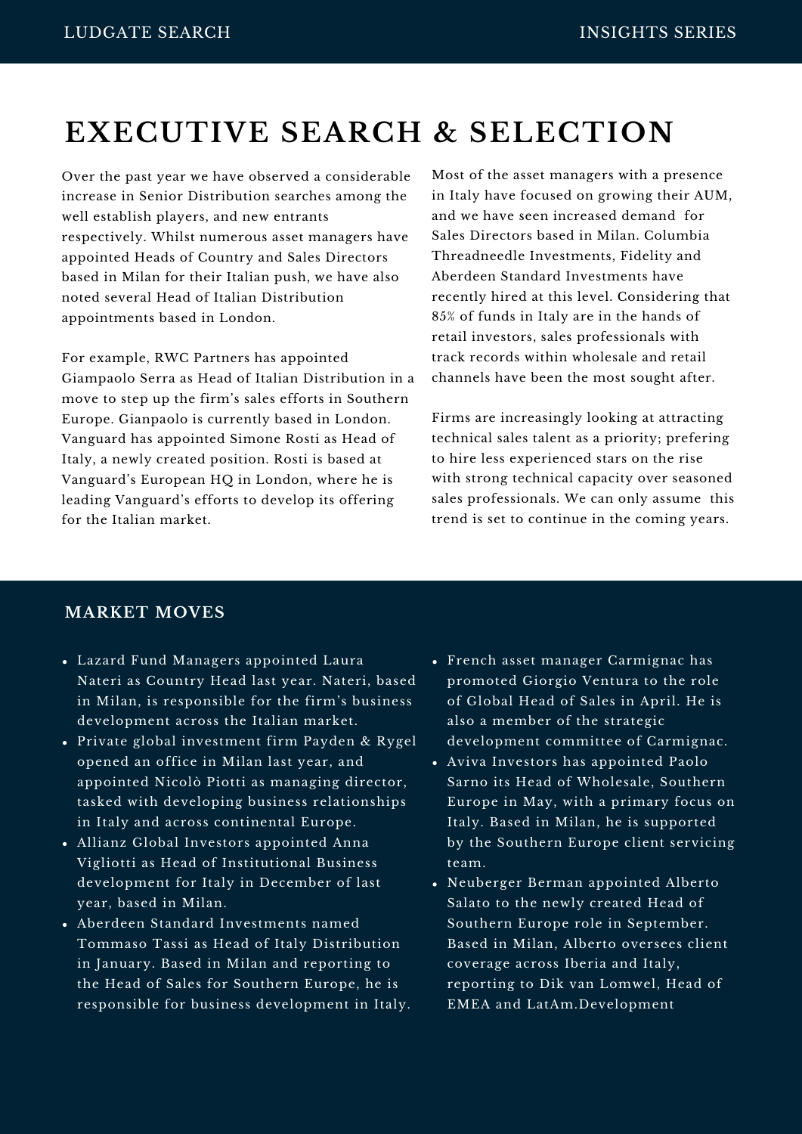### **EXECUTIVE SEARCH & SELECTION**

Over the past year we have observed a considerable increase in Senior Distribution searches among the well establish players, and new entrants respectively. Whilst numerous asset managers have appointed Heads of Country and Sales Directors based in Milan for their Italian push, we have also noted several Head of Italian Distribution appointments based in London.

For example, RWC Partners has appointed Giampaolo Serra as Head of Italian Distribution in a move to step up the firm's sales efforts in Southern Europe. Gianpaolo is currently based in London. Vanguard has appointed Simone Rosti as Head of Italy, a newly created position. Rosti is based at Vanguard's European HQ in London, where he is leading Vanguard's efforts to develop its offering for the Italian market.

Most of the asset managers with a presence in Italy have focused on growing their AUM, and we have seen increased demand for Sales Directors based in Milan. Columbia Threadneedle Investments, Fidelity and Aberdeen Standard Investments have recently hired at this level. Considering that 85% of funds in Italy are in the hands of retail investors, sales professionals with track records within wholesale and retail channels have been the most sought after.

Firms are increasingly looking at attracting technical sales talent as a priority; prefering to hire less experienced stars on the rise with strong technical capacity over seasoned sales professionals. We can only assume this trend is set to continue in the coming years.

### **MARKET MOVES**

- Lazard Fund Managers appointed Laura Nateri as Country Head last year. Nateri, based in Milan, is responsible for the firm's business development across the Italian market.
- Private global investment firm Payden & Rygel opened an office in Milan last year, and appointed Nicolò Piotti as managing director, tasked with developing business relationships in Italy and across continental Europe.
- Allianz Global Investors appointed Anna Vigliotti as Head of Institutional Business development for Italy in December of last year, based in Milan.
- Aberdeen Standard Investments named Tommaso Tassi as Head of Italy Distribution in January. Based in Milan and reporting to the Head of Sales for Southern Europe, he is responsible for business development in Italy.
- French asset manager Carmignac has promoted Giorgio Ventura to the role of Global Head of Sales in April. He is also a member of the strategic development committee of Carmignac.
- Aviva Investors has appointed Paolo Sarno its Head of Wholesale, Southern Europe in May, with a primary focus on Italy. Based in Milan, he is supported by the Southern Europe client servicing team.
- Neuberger Berman appointed Alberto Salato to the newly created Head of Southern Europe role in September. Based in Milan, Alberto oversees client coverage across Iberia and Italy, reporting to Dik van Lomwel, Head of EMEA and LatAm.Development